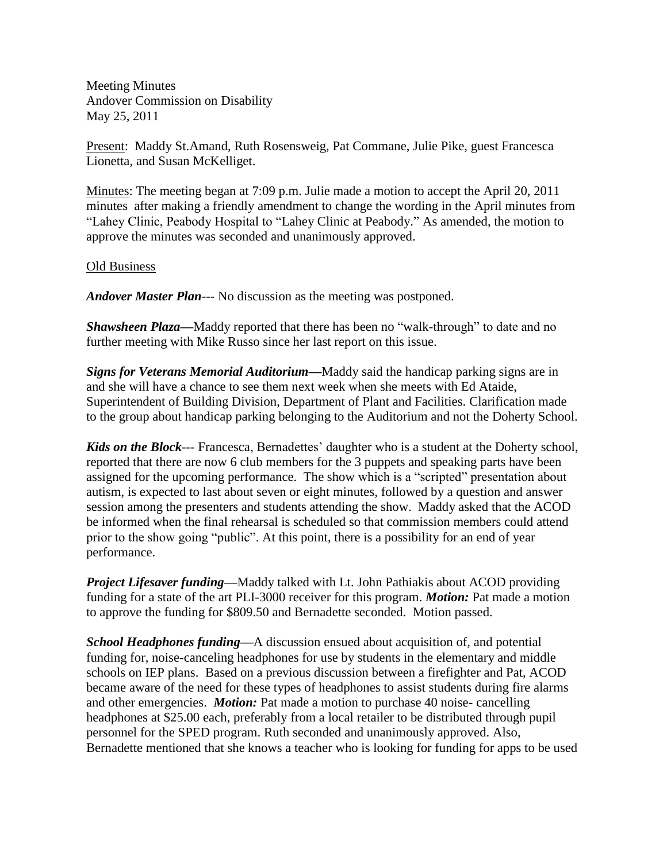Meeting Minutes Andover Commission on Disability May 25, 2011

Present: Maddy St.Amand, Ruth Rosensweig, Pat Commane, Julie Pike, guest Francesca Lionetta, and Susan McKelliget.

Minutes: The meeting began at 7:09 p.m. Julie made a motion to accept the April 20, 2011 minutes after making a friendly amendment to change the wording in the April minutes from "Lahey Clinic, Peabody Hospital to "Lahey Clinic at Peabody." As amended, the motion to approve the minutes was seconded and unanimously approved.

## Old Business

*Andover Master Plan*--- No discussion as the meeting was postponed.

*Shawsheen Plaza—*Maddy reported that there has been no "walk-through" to date and no further meeting with Mike Russo since her last report on this issue.

*Signs for Veterans Memorial Auditorium—*Maddy said the handicap parking signs are in and she will have a chance to see them next week when she meets with Ed Ataide, Superintendent of Building Division, Department of Plant and Facilities. Clarification made to the group about handicap parking belonging to the Auditorium and not the Doherty School.

*Kids on the Block*--- Francesca, Bernadettes' daughter who is a student at the Doherty school, reported that there are now 6 club members for the 3 puppets and speaking parts have been assigned for the upcoming performance. The show which is a "scripted" presentation about autism, is expected to last about seven or eight minutes, followed by a question and answer session among the presenters and students attending the show. Maddy asked that the ACOD be informed when the final rehearsal is scheduled so that commission members could attend prior to the show going "public". At this point, there is a possibility for an end of year performance.

*Project Lifesaver funding—*Maddy talked with Lt. John Pathiakis about ACOD providing funding for a state of the art PLI-3000 receiver for this program. *Motion:* Pat made a motion to approve the funding for \$809.50 and Bernadette seconded. Motion passed.

*School Headphones funding—*A discussion ensued about acquisition of, and potential funding for, noise-canceling headphones for use by students in the elementary and middle schools on IEP plans. Based on a previous discussion between a firefighter and Pat, ACOD became aware of the need for these types of headphones to assist students during fire alarms and other emergencies. *Motion:* Pat made a motion to purchase 40 noise- cancelling headphones at \$25.00 each, preferably from a local retailer to be distributed through pupil personnel for the SPED program. Ruth seconded and unanimously approved. Also, Bernadette mentioned that she knows a teacher who is looking for funding for apps to be used